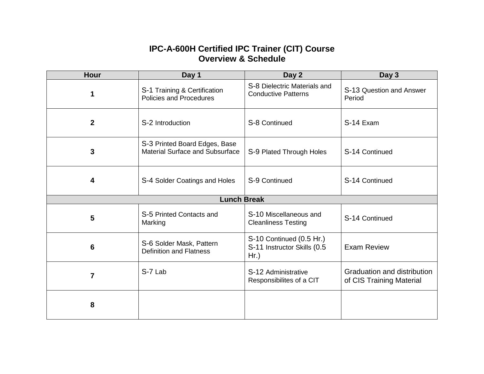## **IPC-A-600H Certified IPC Trainer (CIT) Course Overview & Schedule**

| <b>Hour</b>        | Day 1                                                                   | Day 2                                                              | Day 3                                                   |  |
|--------------------|-------------------------------------------------------------------------|--------------------------------------------------------------------|---------------------------------------------------------|--|
| 1                  | S-1 Training & Certification<br><b>Policies and Procedures</b>          | S-8 Dielectric Materials and<br><b>Conductive Patterns</b>         | S-13 Question and Answer<br>Period                      |  |
| $\mathbf{2}$       | S-2 Introduction                                                        | S-8 Continued                                                      | S-14 Exam                                               |  |
| 3                  | S-3 Printed Board Edges, Base<br><b>Material Surface and Subsurface</b> | S-9 Plated Through Holes                                           | S-14 Continued                                          |  |
| 4                  | S-4 Solder Coatings and Holes                                           | S-9 Continued                                                      | S-14 Continued                                          |  |
| <b>Lunch Break</b> |                                                                         |                                                                    |                                                         |  |
| 5                  | S-5 Printed Contacts and<br>Marking                                     | S-10 Miscellaneous and<br><b>Cleanliness Testing</b>               | S-14 Continued                                          |  |
| 6                  | S-6 Solder Mask, Pattern<br><b>Definition and Flatness</b>              | S-10 Continued (0.5 Hr.)<br>S-11 Instructor Skills (0.5<br>$Hr.$ ) | <b>Exam Review</b>                                      |  |
| $\overline{7}$     | S-7 Lab                                                                 | S-12 Administrative<br>Responsibilites of a CIT                    | Graduation and distribution<br>of CIS Training Material |  |
| 8                  |                                                                         |                                                                    |                                                         |  |